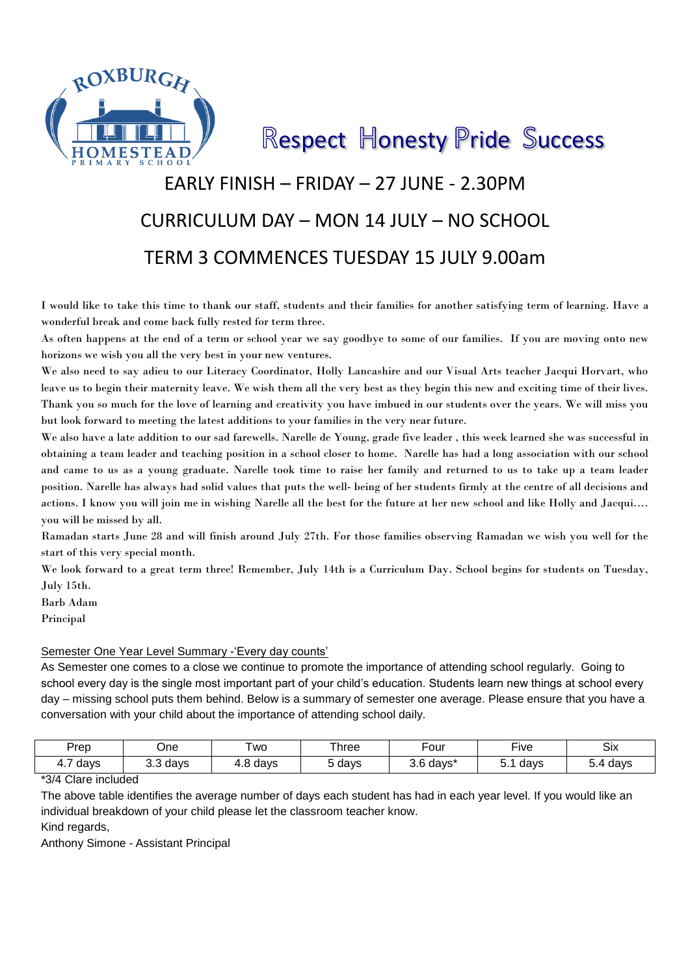

Respect Honesty Pride Success

# EARLY FINISH – FRIDAY – 27 JUNE - 2.30PM CURRICULUM DAY – MON 14 JULY – NO SCHOOL TERM 3 COMMENCES TUESDAY 15 JULY 9.00am

I would like to take this time to thank our staff, students and their families for another satisfying term of learning. Have a wonderful break and come back fully rested for term three.

As often happens at the end of a term or school year we say goodbye to some of our families. If you are moving onto new horizons we wish you all the very best in your new ventures.

We also need to say adieu to our Literacy Coordinator, Holly Lancashire and our Visual Arts teacher Jacqui Horvart, who leave us to begin their maternity leave. We wish them all the very best as they begin this new and exciting time of their lives. Thank you so much for the love of learning and creativity you have imbued in our students over the years. We will miss you but look forward to meeting the latest additions to your families in the very near future.

We also have a late addition to our sad farewells. Narelle de Young, grade five leader , this week learned she was successful in obtaining a team leader and teaching position in a school closer to home. Narelle has had a long association with our school and came to us as a young graduate. Narelle took time to raise her family and returned to us to take up a team leader position. Narelle has always had solid values that puts the well- being of her students firmly at the centre of all decisions and actions. I know you will join me in wishing Narelle all the best for the future at her new school and like Holly and Jacqui…. you will be missed by all.

Ramadan starts June 28 and will finish around July 27th. For those families observing Ramadan we wish you well for the start of this very special month.

We look forward to a great term three! Remember, July 14th is a Curriculum Day. School begins for students on Tuesday, July 15th.

Barb Adam

Principal

## Semester One Year Level Summary -'Every day counts'

As Semester one comes to a close we continue to promote the importance of attending school regularly. Going to school every day is the single most important part of your child's education. Students learn new things at school every day – missing school puts them behind. Below is a summary of semester one average. Please ensure that you have a conversation with your child about the importance of attending school daily.

| Prep                                    | ⊃ne              | <b>WO</b>                 | Three | -our                 | $- \cdot$<br>-ive | <b>Six</b>  |
|-----------------------------------------|------------------|---------------------------|-------|----------------------|-------------------|-------------|
| $\overline{\phantom{0}}$<br>days<br>н., | ∽<br>days<br>ບ.ບ | $\sim$<br>days<br><br>r.v | days  | 3.6<br>- 14<br>days* | days<br>v.        | days<br>◡.¬ |

\*3/4 Clare included

The above table identifies the average number of days each student has had in each year level. If you would like an individual breakdown of your child please let the classroom teacher know.

Kind regards,

Anthony Simone - Assistant Principal